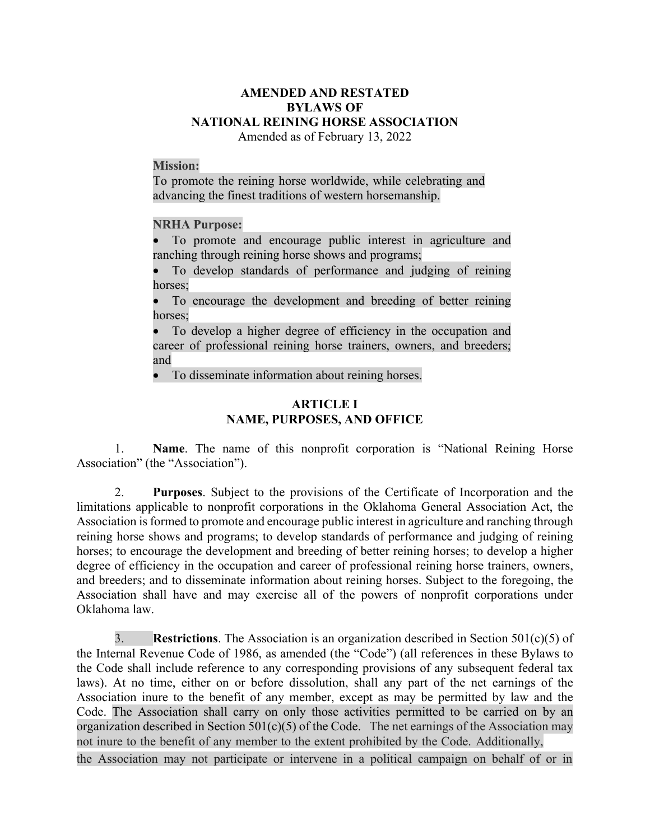# **AMENDED AND RESTATED BYLAWS OF NATIONAL REINING HORSE ASSOCIATION**

Amended as of February 13, 2022

#### **Mission:**

To promote the reining horse worldwide, while celebrating and advancing the finest traditions of western horsemanship.

### **NRHA Purpose:**

• To promote and encourage public interest in agriculture and ranching through reining horse shows and programs;

• To develop standards of performance and judging of reining horses;

To encourage the development and breeding of better reining horses;

• To develop a higher degree of efficiency in the occupation and career of professional reining horse trainers, owners, and breeders; and

• To disseminate information about reining horses.

### **ARTICLE I NAME, PURPOSES, AND OFFICE**

1. **Name**. The name of this nonprofit corporation is "National Reining Horse Association" (the "Association").

2. **Purposes**. Subject to the provisions of the Certificate of Incorporation and the limitations applicable to nonprofit corporations in the Oklahoma General Association Act, the Association is formed to promote and encourage public interest in agriculture and ranching through reining horse shows and programs; to develop standards of performance and judging of reining horses; to encourage the development and breeding of better reining horses; to develop a higher degree of efficiency in the occupation and career of professional reining horse trainers, owners, and breeders; and to disseminate information about reining horses. Subject to the foregoing, the Association shall have and may exercise all of the powers of nonprofit corporations under Oklahoma law.

3. **Restrictions**. The Association is an organization described in Section 501(c)(5) of the Internal Revenue Code of 1986, as amended (the "Code") (all references in these Bylaws to the Code shall include reference to any corresponding provisions of any subsequent federal tax laws). At no time, either on or before dissolution, shall any part of the net earnings of the Association inure to the benefit of any member, except as may be permitted by law and the Code. The Association shall carry on only those activities permitted to be carried on by an organization described in Section  $501(c)(5)$  of the Code. The net earnings of the Association may not inure to the benefit of any member to the extent prohibited by the Code. Additionally,

the Association may not participate or intervene in a political campaign on behalf of or in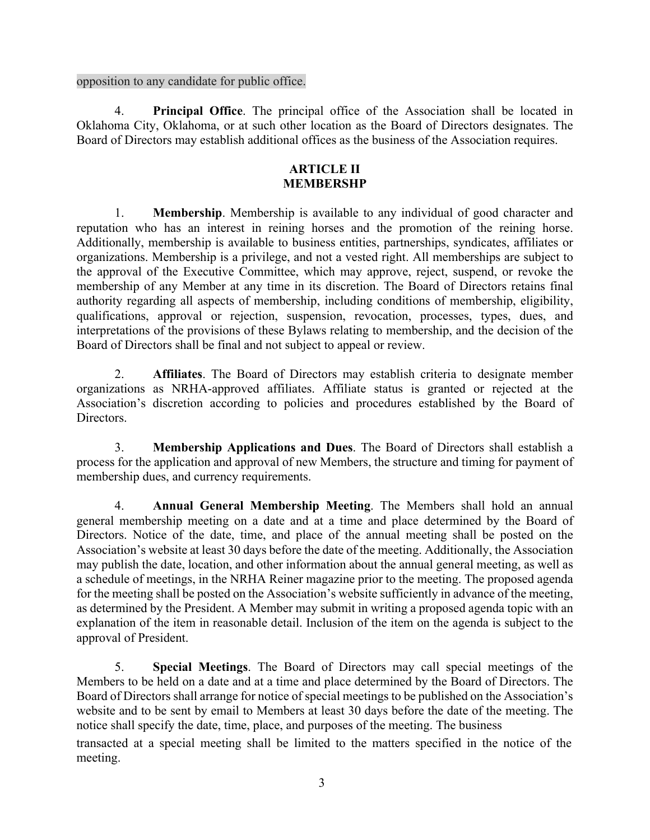opposition to any candidate for public office.

4. **Principal Office**. The principal office of the Association shall be located in Oklahoma City, Oklahoma, or at such other location as the Board of Directors designates. The Board of Directors may establish additional offices as the business of the Association requires.

### **ARTICLE II MEMBERSHP**

1. **Membership**. Membership is available to any individual of good character and reputation who has an interest in reining horses and the promotion of the reining horse. Additionally, membership is available to business entities, partnerships, syndicates, affiliates or organizations. Membership is a privilege, and not a vested right. All memberships are subject to the approval of the Executive Committee, which may approve, reject, suspend, or revoke the membership of any Member at any time in its discretion. The Board of Directors retains final authority regarding all aspects of membership, including conditions of membership, eligibility, qualifications, approval or rejection, suspension, revocation, processes, types, dues, and interpretations of the provisions of these Bylaws relating to membership, and the decision of the Board of Directors shall be final and not subject to appeal or review.

2. **Affiliates**. The Board of Directors may establish criteria to designate member organizations as NRHA-approved affiliates. Affiliate status is granted or rejected at the Association's discretion according to policies and procedures established by the Board of Directors.

3. **Membership Applications and Dues**. The Board of Directors shall establish a process for the application and approval of new Members, the structure and timing for payment of membership dues, and currency requirements.

4. **Annual General Membership Meeting**. The Members shall hold an annual general membership meeting on a date and at a time and place determined by the Board of Directors. Notice of the date, time, and place of the annual meeting shall be posted on the Association's website at least 30 days before the date of the meeting. Additionally, the Association may publish the date, location, and other information about the annual general meeting, as well as a schedule of meetings, in the NRHA Reiner magazine prior to the meeting. The proposed agenda for the meeting shall be posted on the Association's website sufficiently in advance of the meeting, as determined by the President. A Member may submit in writing a proposed agenda topic with an explanation of the item in reasonable detail. Inclusion of the item on the agenda is subject to the approval of President.

5. **Special Meetings**. The Board of Directors may call special meetings of the Members to be held on a date and at a time and place determined by the Board of Directors. The Board of Directors shall arrange for notice of special meetings to be published on the Association's website and to be sent by email to Members at least 30 days before the date of the meeting. The notice shall specify the date, time, place, and purposes of the meeting. The business

transacted at a special meeting shall be limited to the matters specified in the notice of the meeting.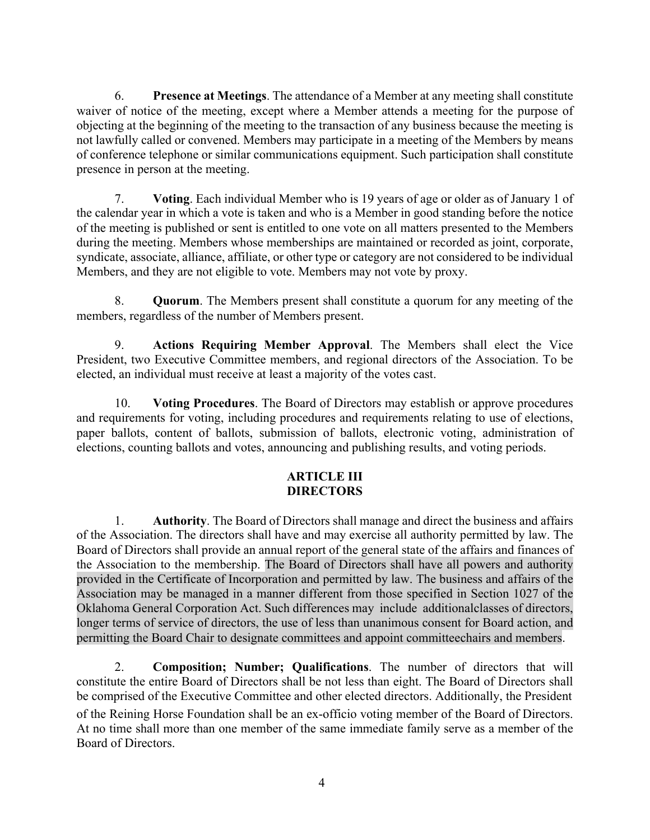6. **Presence at Meetings**. The attendance of a Member at any meeting shall constitute waiver of notice of the meeting, except where a Member attends a meeting for the purpose of objecting at the beginning of the meeting to the transaction of any business because the meeting is not lawfully called or convened. Members may participate in a meeting of the Members by means of conference telephone or similar communications equipment. Such participation shall constitute presence in person at the meeting.

7. **Voting**. Each individual Member who is 19 years of age or older as of January 1 of the calendar year in which a vote is taken and who is a Member in good standing before the notice of the meeting is published or sent is entitled to one vote on all matters presented to the Members during the meeting. Members whose memberships are maintained or recorded as joint, corporate, syndicate, associate, alliance, affiliate, or other type or category are not considered to be individual Members, and they are not eligible to vote. Members may not vote by proxy.

8. **Quorum**. The Members present shall constitute a quorum for any meeting of the members, regardless of the number of Members present.

9. **Actions Requiring Member Approval**. The Members shall elect the Vice President, two Executive Committee members, and regional directors of the Association. To be elected, an individual must receive at least a majority of the votes cast.

10. **Voting Procedures**. The Board of Directors may establish or approve procedures and requirements for voting, including procedures and requirements relating to use of elections, paper ballots, content of ballots, submission of ballots, electronic voting, administration of elections, counting ballots and votes, announcing and publishing results, and voting periods.

# **ARTICLE III DIRECTORS**

1. **Authority**. The Board of Directors shall manage and direct the business and affairs of the Association. The directors shall have and may exercise all authority permitted by law. The Board of Directors shall provide an annual report of the general state of the affairs and finances of the Association to the membership. The Board of Directors shall have all powers and authority provided in the Certificate of Incorporation and permitted by law. The business and affairs of the Association may be managed in a manner different from those specified in Section 1027 of the Oklahoma General Corporation Act. Such differences may include additionalclasses of directors, longer terms of service of directors, the use of less than unanimous consent for Board action, and permitting the Board Chair to designate committees and appoint committeechairs and members.

2. **Composition; Number; Qualifications**. The number of directors that will constitute the entire Board of Directors shall be not less than eight. The Board of Directors shall be comprised of the Executive Committee and other elected directors. Additionally, the President of the Reining Horse Foundation shall be an ex-officio voting member of the Board of Directors. At no time shall more than one member of the same immediate family serve as a member of the Board of Directors.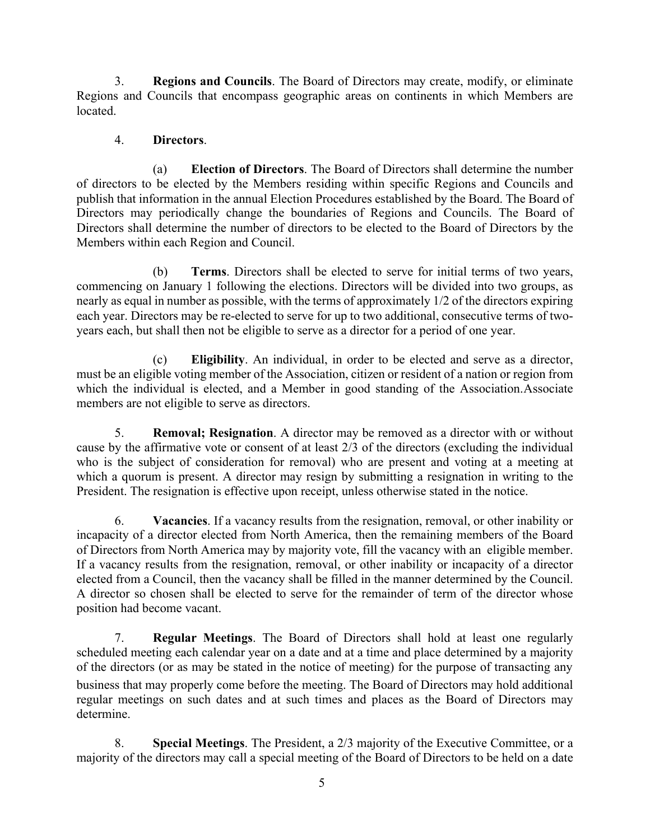3. **Regions and Councils**. The Board of Directors may create, modify, or eliminate Regions and Councils that encompass geographic areas on continents in which Members are located.

### 4. **Directors**.

(a) **Election of Directors**. The Board of Directors shall determine the number of directors to be elected by the Members residing within specific Regions and Councils and publish that information in the annual Election Procedures established by the Board. The Board of Directors may periodically change the boundaries of Regions and Councils. The Board of Directors shall determine the number of directors to be elected to the Board of Directors by the Members within each Region and Council.

(b) **Terms**. Directors shall be elected to serve for initial terms of two years, commencing on January 1 following the elections. Directors will be divided into two groups, as nearly as equal in number as possible, with the terms of approximately 1/2 of the directors expiring each year. Directors may be re-elected to serve for up to two additional, consecutive terms of twoyears each, but shall then not be eligible to serve as a director for a period of one year.

(c) **Eligibility**. An individual, in order to be elected and serve as a director, must be an eligible voting member of the Association, citizen or resident of a nation or region from which the individual is elected, and a Member in good standing of the Association.Associate members are not eligible to serve as directors.

5. **Removal; Resignation**. A director may be removed as a director with or without cause by the affirmative vote or consent of at least 2/3 of the directors (excluding the individual who is the subject of consideration for removal) who are present and voting at a meeting at which a quorum is present. A director may resign by submitting a resignation in writing to the President. The resignation is effective upon receipt, unless otherwise stated in the notice.

6. **Vacancies**. If a vacancy results from the resignation, removal, or other inability or incapacity of a director elected from North America, then the remaining members of the Board of Directors from North America may by majority vote, fill the vacancy with an eligible member. If a vacancy results from the resignation, removal, or other inability or incapacity of a director elected from a Council, then the vacancy shall be filled in the manner determined by the Council. A director so chosen shall be elected to serve for the remainder of term of the director whose position had become vacant.

7. **Regular Meetings**. The Board of Directors shall hold at least one regularly scheduled meeting each calendar year on a date and at a time and place determined by a majority of the directors (or as may be stated in the notice of meeting) for the purpose of transacting any business that may properly come before the meeting. The Board of Directors may hold additional regular meetings on such dates and at such times and places as the Board of Directors may determine.

8. **Special Meetings**. The President, a 2/3 majority of the Executive Committee, or a majority of the directors may call a special meeting of the Board of Directors to be held on a date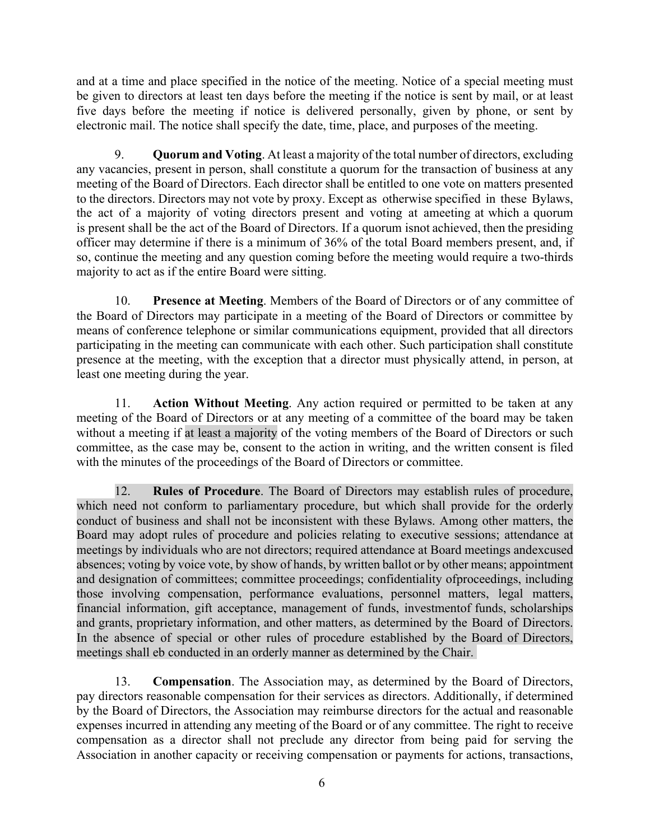and at a time and place specified in the notice of the meeting. Notice of a special meeting must be given to directors at least ten days before the meeting if the notice is sent by mail, or at least five days before the meeting if notice is delivered personally, given by phone, or sent by electronic mail. The notice shall specify the date, time, place, and purposes of the meeting.

9. **Quorum and Voting**. At least a majority of the total number of directors, excluding any vacancies, present in person, shall constitute a quorum for the transaction of business at any meeting of the Board of Directors. Each director shall be entitled to one vote on matters presented to the directors. Directors may not vote by proxy. Except as otherwise specified in these Bylaws, the act of a majority of voting directors present and voting at ameeting at which a quorum is present shall be the act of the Board of Directors. If a quorum isnot achieved, then the presiding officer may determine if there is a minimum of 36% of the total Board members present, and, if so, continue the meeting and any question coming before the meeting would require a two-thirds majority to act as if the entire Board were sitting.

10. **Presence at Meeting**. Members of the Board of Directors or of any committee of the Board of Directors may participate in a meeting of the Board of Directors or committee by means of conference telephone or similar communications equipment, provided that all directors participating in the meeting can communicate with each other. Such participation shall constitute presence at the meeting, with the exception that a director must physically attend, in person, at least one meeting during the year.

11. **Action Without Meeting**. Any action required or permitted to be taken at any meeting of the Board of Directors or at any meeting of a committee of the board may be taken without a meeting if at least a majority of the voting members of the Board of Directors or such committee, as the case may be, consent to the action in writing, and the written consent is filed with the minutes of the proceedings of the Board of Directors or committee.

12. **Rules of Procedure**. The Board of Directors may establish rules of procedure, which need not conform to parliamentary procedure, but which shall provide for the orderly conduct of business and shall not be inconsistent with these Bylaws. Among other matters, the Board may adopt rules of procedure and policies relating to executive sessions; attendance at meetings by individuals who are not directors; required attendance at Board meetings andexcused absences; voting by voice vote, by show of hands, by written ballot or by other means; appointment and designation of committees; committee proceedings; confidentiality ofproceedings, including those involving compensation, performance evaluations, personnel matters, legal matters, financial information, gift acceptance, management of funds, investmentof funds, scholarships and grants, proprietary information, and other matters, as determined by the Board of Directors. In the absence of special or other rules of procedure established by the Board of Directors, meetings shall eb conducted in an orderly manner as determined by the Chair.

13. **Compensation**. The Association may, as determined by the Board of Directors, pay directors reasonable compensation for their services as directors. Additionally, if determined by the Board of Directors, the Association may reimburse directors for the actual and reasonable expenses incurred in attending any meeting of the Board or of any committee. The right to receive compensation as a director shall not preclude any director from being paid for serving the Association in another capacity or receiving compensation or payments for actions, transactions,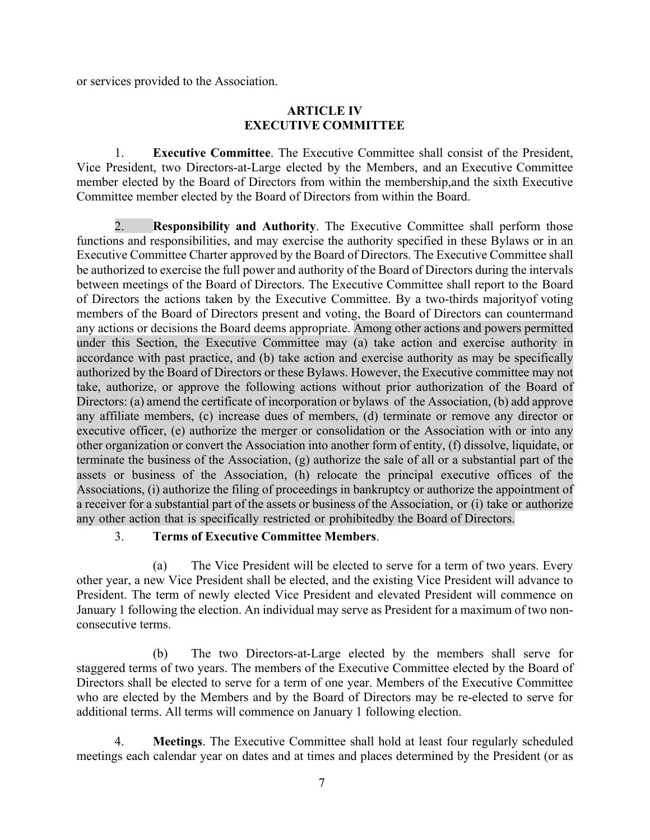or services provided to the Association.

### **ARTICLE IV EXECUTIVE COMMITTEE**

1. **Executive Committee**. The Executive Committee shall consist of the President, Vice President, two Directors-at-Large elected by the Members, and an Executive Committee member elected by the Board of Directors from within the membership,and the sixth Executive Committee member elected by the Board of Directors from within the Board.

2. **Responsibility and Authority**. The Executive Committee shall perform those functions and responsibilities, and may exercise the authority specified in these Bylaws or in an Executive Committee Charter approved by the Board of Directors. The Executive Committee shall be authorized to exercise the full power and authority of the Board of Directors during the intervals between meetings of the Board of Directors. The Executive Committee shall report to the Board of Directors the actions taken by the Executive Committee. By a two-thirds majorityof voting members of the Board of Directors present and voting, the Board of Directors can countermand any actions or decisions the Board deems appropriate. Among other actions and powers permitted under this Section, the Executive Committee may (a) take action and exercise authority in accordance with past practice, and (b) take action and exercise authority as may be specifically authorized by the Board of Directors or these Bylaws. However, the Executive committee may not take, authorize, or approve the following actions without prior authorization of the Board of Directors: (a) amend the certificate of incorporation or bylaws of the Association, (b) add approve any affiliate members, (c) increase dues of members, (d) terminate or remove any director or executive officer, (e) authorize the merger or consolidation or the Association with or into any other organization or convert the Association into another form of entity, (f) dissolve, liquidate, or terminate the business of the Association, (g) authorize the sale of all or a substantial part of the assets or business of the Association, (h) relocate the principal executive offices of the Associations, (i) authorize the filing of proceedings in bankruptcy or authorize the appointment of a receiver for a substantial part of the assets or business of the Association, or (i) take or authorize any other action that is specifically restricted or prohibitedby the Board of Directors.

### 3. **Terms of Executive Committee Members**.

(a) The Vice President will be elected to serve for a term of two years. Every other year, a new Vice President shall be elected, and the existing Vice President will advance to President. The term of newly elected Vice President and elevated President will commence on January 1 following the election. An individual may serve as President for a maximum of two nonconsecutive terms.

(b) The two Directors-at-Large elected by the members shall serve for staggered terms of two years. The members of the Executive Committee elected by the Board of Directors shall be elected to serve for a term of one year. Members of the Executive Committee who are elected by the Members and by the Board of Directors may be re-elected to serve for additional terms. All terms will commence on January 1 following election.

4. **Meetings**. The Executive Committee shall hold at least four regularly scheduled meetings each calendar year on dates and at times and places determined by the President (or as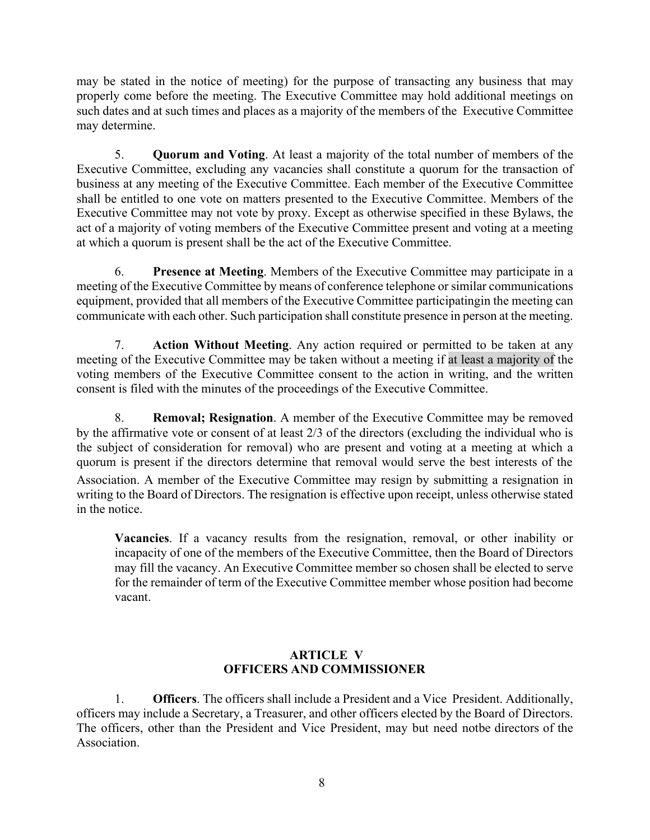may be stated in the notice of meeting) for the purpose of transacting any business that may properly come before the meeting. The Executive Committee may hold additional meetings on such dates and at such times and places as a majority of the members of the Executive Committee may determine.

5. **Quorum and Voting**. At least a majority of the total number of members of the Executive Committee, excluding any vacancies shall constitute a quorum for the transaction of business at any meeting of the Executive Committee. Each member of the Executive Committee shall be entitled to one vote on matters presented to the Executive Committee. Members of the Executive Committee may not vote by proxy. Except as otherwise specified in these Bylaws, the act of a majority of voting members of the Executive Committee present and voting at a meeting at which a quorum is present shall be the act of the Executive Committee.

6. **Presence at Meeting**. Members of the Executive Committee may participate in a meeting of the Executive Committee by means of conference telephone or similar communications equipment, provided that all members of the Executive Committee participatingin the meeting can communicate with each other. Such participation shall constitute presence in person at the meeting.

7. **Action Without Meeting**. Any action required or permitted to be taken at any meeting of the Executive Committee may be taken without a meeting if at least a majority of the voting members of the Executive Committee consent to the action in writing, and the written consent is filed with the minutes of the proceedings of the Executive Committee.

8. **Removal; Resignation**. A member of the Executive Committee may be removed by the affirmative vote or consent of at least 2/3 of the directors (excluding the individual who is the subject of consideration for removal) who are present and voting at a meeting at which a quorum is present if the directors determine that removal would serve the best interests of the Association. A member of the Executive Committee may resign by submitting a resignation in writing to the Board of Directors. The resignation is effective upon receipt, unless otherwise stated in the notice.

**Vacancies**. If a vacancy results from the resignation, removal, or other inability or incapacity of one of the members of the Executive Committee, then the Board of Directors may fill the vacancy. An Executive Committee member so chosen shall be elected to serve for the remainder of term of the Executive Committee member whose position had become vacant.

# **ARTICLE V OFFICERS AND COMMISSIONER**

1. **Officers**. The officers shall include a President and a Vice President. Additionally, officers may include a Secretary, a Treasurer, and other officers elected by the Board of Directors. The officers, other than the President and Vice President, may but need notbe directors of the Association.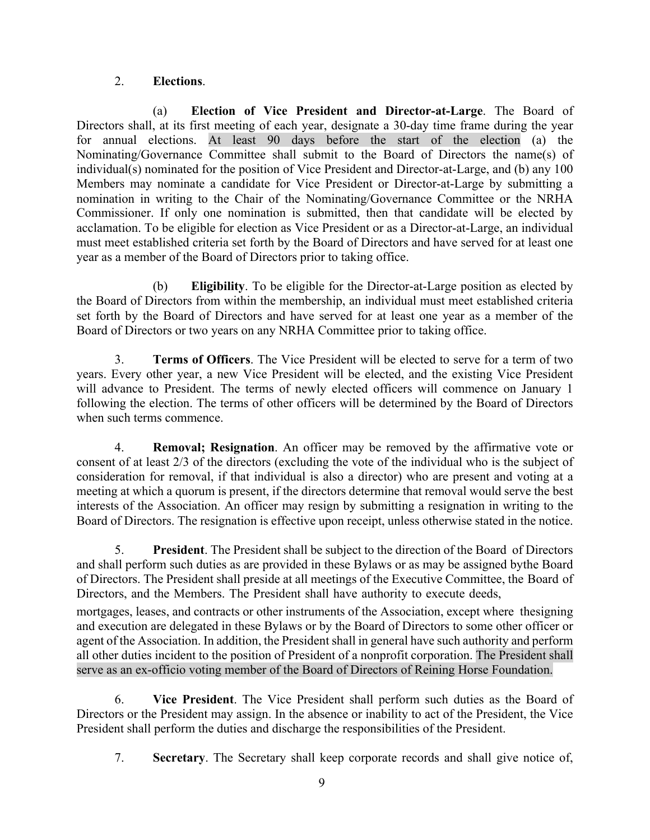# 2. **Elections**.

(a) **Election of Vice President and Director-at-Large**. The Board of Directors shall, at its first meeting of each year, designate a 30-day time frame during the year for annual elections. At least 90 days before the start of the election (a) the Nominating/Governance Committee shall submit to the Board of Directors the name(s) of individual(s) nominated for the position of Vice President and Director-at-Large, and (b) any 100 Members may nominate a candidate for Vice President or Director-at-Large by submitting a nomination in writing to the Chair of the Nominating/Governance Committee or the NRHA Commissioner. If only one nomination is submitted, then that candidate will be elected by acclamation. To be eligible for election as Vice President or as a Director-at-Large, an individual must meet established criteria set forth by the Board of Directors and have served for at least one year as a member of the Board of Directors prior to taking office.

(b) **Eligibility**. To be eligible for the Director-at-Large position as elected by the Board of Directors from within the membership, an individual must meet established criteria set forth by the Board of Directors and have served for at least one year as a member of the Board of Directors or two years on any NRHA Committee prior to taking office.

3. **Terms of Officers**. The Vice President will be elected to serve for a term of two years. Every other year, a new Vice President will be elected, and the existing Vice President will advance to President. The terms of newly elected officers will commence on January 1 following the election. The terms of other officers will be determined by the Board of Directors when such terms commence.

4. **Removal; Resignation**. An officer may be removed by the affirmative vote or consent of at least 2/3 of the directors (excluding the vote of the individual who is the subject of consideration for removal, if that individual is also a director) who are present and voting at a meeting at which a quorum is present, if the directors determine that removal would serve the best interests of the Association. An officer may resign by submitting a resignation in writing to the Board of Directors. The resignation is effective upon receipt, unless otherwise stated in the notice.

5. **President**. The President shall be subject to the direction of the Board of Directors and shall perform such duties as are provided in these Bylaws or as may be assigned bythe Board of Directors. The President shall preside at all meetings of the Executive Committee, the Board of Directors, and the Members. The President shall have authority to execute deeds,

mortgages, leases, and contracts or other instruments of the Association, except where thesigning and execution are delegated in these Bylaws or by the Board of Directors to some other officer or agent of the Association. In addition, the President shall in general have such authority and perform all other duties incident to the position of President of a nonprofit corporation. The President shall serve as an ex-officio voting member of the Board of Directors of Reining Horse Foundation.

6. **Vice President**. The Vice President shall perform such duties as the Board of Directors or the President may assign. In the absence or inability to act of the President, the Vice President shall perform the duties and discharge the responsibilities of the President.

7. **Secretary**. The Secretary shall keep corporate records and shall give notice of,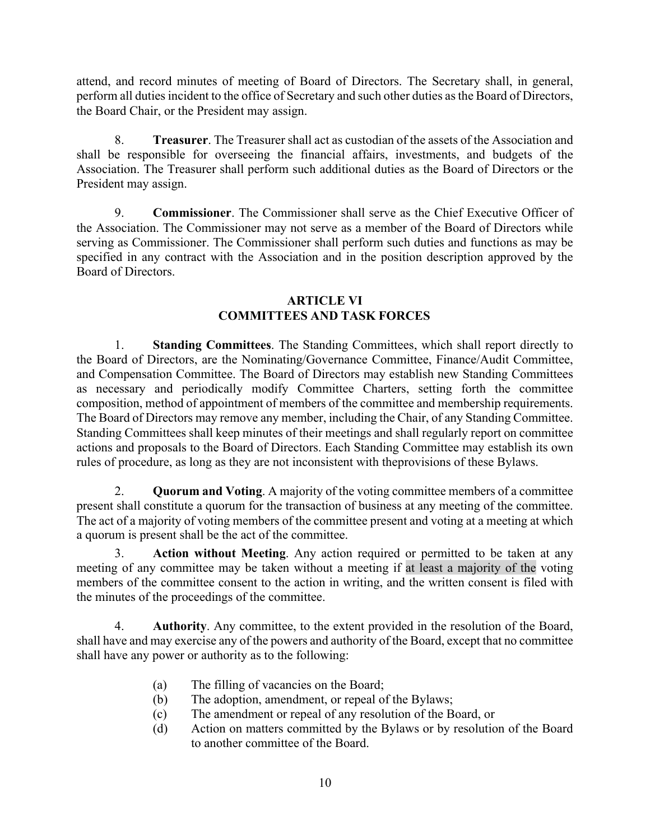attend, and record minutes of meeting of Board of Directors. The Secretary shall, in general, perform all duties incident to the office of Secretary and such other duties as the Board of Directors, the Board Chair, or the President may assign.

8. **Treasurer**. The Treasurer shall act as custodian of the assets of the Association and shall be responsible for overseeing the financial affairs, investments, and budgets of the Association. The Treasurer shall perform such additional duties as the Board of Directors or the President may assign.

9. **Commissioner**. The Commissioner shall serve as the Chief Executive Officer of the Association. The Commissioner may not serve as a member of the Board of Directors while serving as Commissioner. The Commissioner shall perform such duties and functions as may be specified in any contract with the Association and in the position description approved by the Board of Directors.

### **ARTICLE VI COMMITTEES AND TASK FORCES**

1. **Standing Committees**. The Standing Committees, which shall report directly to the Board of Directors, are the Nominating/Governance Committee, Finance/Audit Committee, and Compensation Committee. The Board of Directors may establish new Standing Committees as necessary and periodically modify Committee Charters, setting forth the committee composition, method of appointment of members of the committee and membership requirements. The Board of Directors may remove any member, including the Chair, of any Standing Committee. Standing Committees shall keep minutes of their meetings and shall regularly report on committee actions and proposals to the Board of Directors. Each Standing Committee may establish its own rules of procedure, as long as they are not inconsistent with theprovisions of these Bylaws.

2. **Quorum and Voting**. A majority of the voting committee members of a committee present shall constitute a quorum for the transaction of business at any meeting of the committee. The act of a majority of voting members of the committee present and voting at a meeting at which a quorum is present shall be the act of the committee.

Action without Meeting. Any action required or permitted to be taken at any meeting of any committee may be taken without a meeting if at least a majority of the voting members of the committee consent to the action in writing, and the written consent is filed with the minutes of the proceedings of the committee.

4. **Authority**. Any committee, to the extent provided in the resolution of the Board, shall have and may exercise any of the powers and authority of the Board, except that no committee shall have any power or authority as to the following:

- (a) The filling of vacancies on the Board;
- (b) The adoption, amendment, or repeal of the Bylaws;
- (c) The amendment or repeal of any resolution of the Board, or
- (d) Action on matters committed by the Bylaws or by resolution of the Board to another committee of the Board.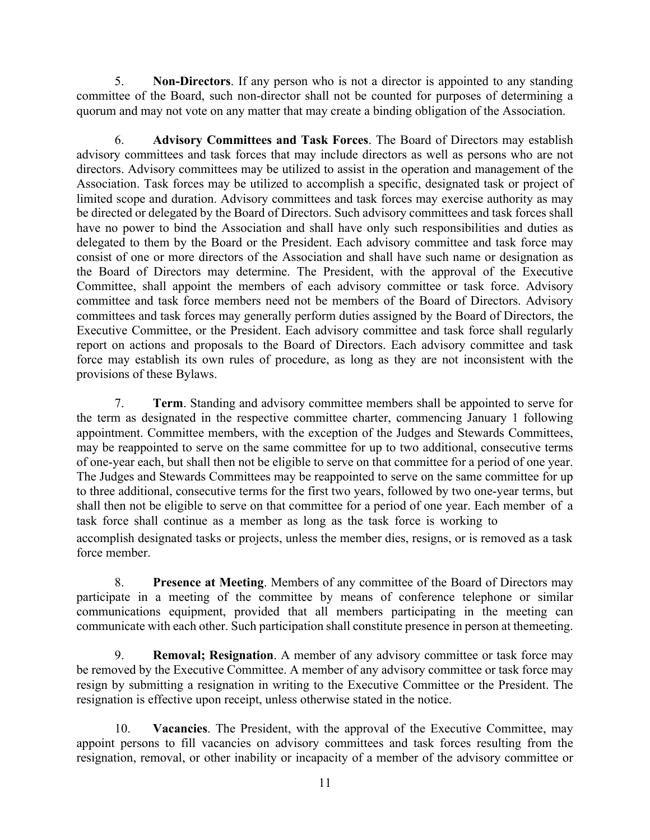5. **Non-Directors**. If any person who is not a director is appointed to any standing committee of the Board, such non-director shall not be counted for purposes of determining a quorum and may not vote on any matter that may create a binding obligation of the Association.

6. **Advisory Committees and Task Forces**. The Board of Directors may establish advisory committees and task forces that may include directors as well as persons who are not directors. Advisory committees may be utilized to assist in the operation and management of the Association. Task forces may be utilized to accomplish a specific, designated task or project of limited scope and duration. Advisory committees and task forces may exercise authority as may be directed or delegated by the Board of Directors. Such advisory committees and task forces shall have no power to bind the Association and shall have only such responsibilities and duties as delegated to them by the Board or the President. Each advisory committee and task force may consist of one or more directors of the Association and shall have such name or designation as the Board of Directors may determine. The President, with the approval of the Executive Committee, shall appoint the members of each advisory committee or task force. Advisory committee and task force members need not be members of the Board of Directors. Advisory committees and task forces may generally perform duties assigned by the Board of Directors, the Executive Committee, or the President. Each advisory committee and task force shall regularly report on actions and proposals to the Board of Directors. Each advisory committee and task force may establish its own rules of procedure, as long as they are not inconsistent with the provisions of these Bylaws.

7. **Term**. Standing and advisory committee members shall be appointed to serve for the term as designated in the respective committee charter, commencing January 1 following appointment. Committee members, with the exception of the Judges and Stewards Committees, may be reappointed to serve on the same committee for up to two additional, consecutive terms of one-year each, but shall then not be eligible to serve on that committee for a period of one year. The Judges and Stewards Committees may be reappointed to serve on the same committee for up to three additional, consecutive terms for the first two years, followed by two one-year terms, but shall then not be eligible to serve on that committee for a period of one year. Each member of a task force shall continue as a member as long as the task force is working to

accomplish designated tasks or projects, unless the member dies, resigns, or is removed as a task force member.

8. **Presence at Meeting**. Members of any committee of the Board of Directors may participate in a meeting of the committee by means of conference telephone or similar communications equipment, provided that all members participating in the meeting can communicate with each other. Such participation shall constitute presence in person at themeeting.

9. **Removal; Resignation**. A member of any advisory committee or task force may be removed by the Executive Committee. A member of any advisory committee or task force may resign by submitting a resignation in writing to the Executive Committee or the President. The resignation is effective upon receipt, unless otherwise stated in the notice.

10. **Vacancies**. The President, with the approval of the Executive Committee, may appoint persons to fill vacancies on advisory committees and task forces resulting from the resignation, removal, or other inability or incapacity of a member of the advisory committee or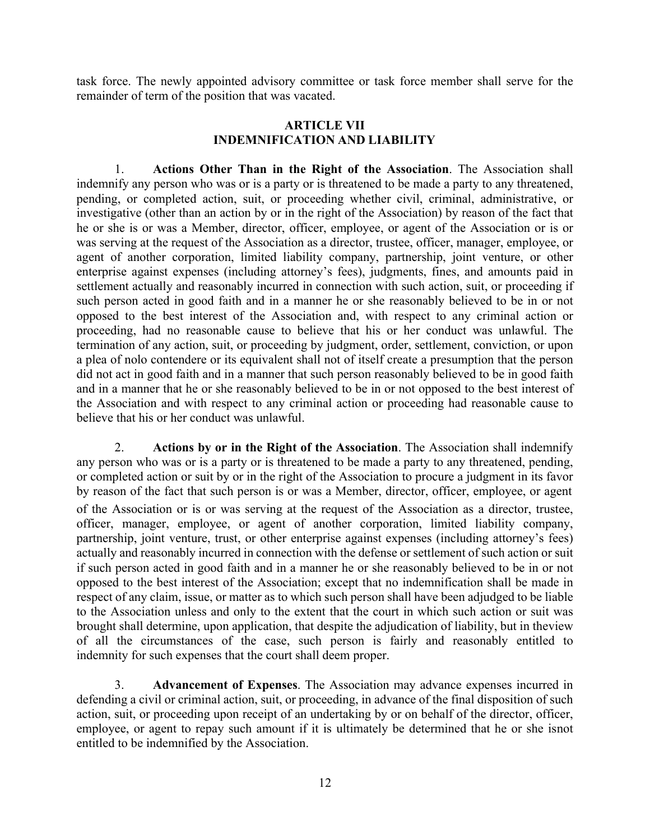task force. The newly appointed advisory committee or task force member shall serve for the remainder of term of the position that was vacated.

### **ARTICLE VII INDEMNIFICATION AND LIABILITY**

1. **Actions Other Than in the Right of the Association**. The Association shall indemnify any person who was or is a party or is threatened to be made a party to any threatened, pending, or completed action, suit, or proceeding whether civil, criminal, administrative, or investigative (other than an action by or in the right of the Association) by reason of the fact that he or she is or was a Member, director, officer, employee, or agent of the Association or is or was serving at the request of the Association as a director, trustee, officer, manager, employee, or agent of another corporation, limited liability company, partnership, joint venture, or other enterprise against expenses (including attorney's fees), judgments, fines, and amounts paid in settlement actually and reasonably incurred in connection with such action, suit, or proceeding if such person acted in good faith and in a manner he or she reasonably believed to be in or not opposed to the best interest of the Association and, with respect to any criminal action or proceeding, had no reasonable cause to believe that his or her conduct was unlawful. The termination of any action, suit, or proceeding by judgment, order, settlement, conviction, or upon a plea of nolo contendere or its equivalent shall not of itself create a presumption that the person did not act in good faith and in a manner that such person reasonably believed to be in good faith and in a manner that he or she reasonably believed to be in or not opposed to the best interest of the Association and with respect to any criminal action or proceeding had reasonable cause to believe that his or her conduct was unlawful.

2. **Actions by or in the Right of the Association**. The Association shall indemnify any person who was or is a party or is threatened to be made a party to any threatened, pending, or completed action or suit by or in the right of the Association to procure a judgment in its favor by reason of the fact that such person is or was a Member, director, officer, employee, or agent of the Association or is or was serving at the request of the Association as a director, trustee, officer, manager, employee, or agent of another corporation, limited liability company, partnership, joint venture, trust, or other enterprise against expenses (including attorney's fees) actually and reasonably incurred in connection with the defense or settlement of such action or suit if such person acted in good faith and in a manner he or she reasonably believed to be in or not opposed to the best interest of the Association; except that no indemnification shall be made in respect of any claim, issue, or matter as to which such person shall have been adjudged to be liable to the Association unless and only to the extent that the court in which such action or suit was brought shall determine, upon application, that despite the adjudication of liability, but in theview of all the circumstances of the case, such person is fairly and reasonably entitled to indemnity for such expenses that the court shall deem proper.

3. **Advancement of Expenses**. The Association may advance expenses incurred in defending a civil or criminal action, suit, or proceeding, in advance of the final disposition of such action, suit, or proceeding upon receipt of an undertaking by or on behalf of the director, officer, employee, or agent to repay such amount if it is ultimately be determined that he or she isnot entitled to be indemnified by the Association.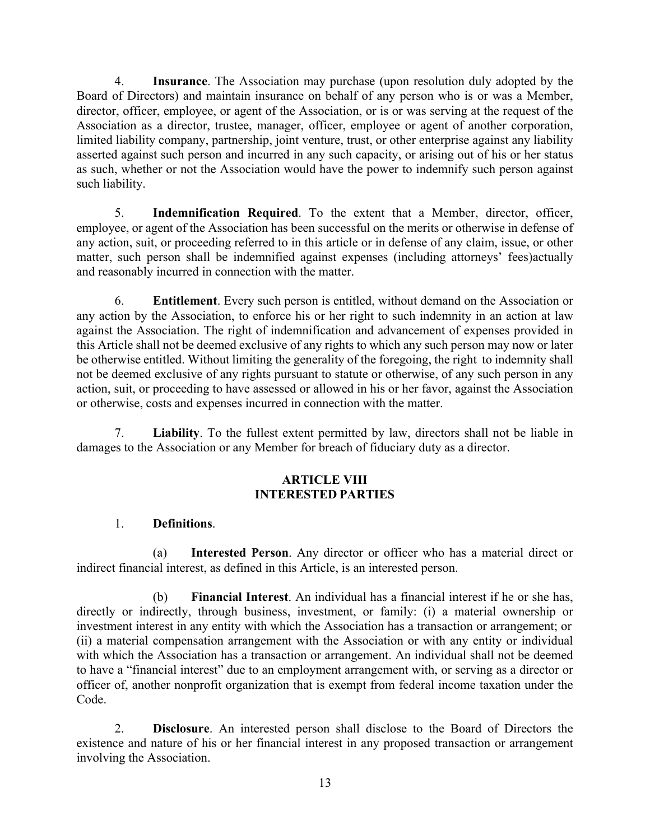4. **Insurance**. The Association may purchase (upon resolution duly adopted by the Board of Directors) and maintain insurance on behalf of any person who is or was a Member, director, officer, employee, or agent of the Association, or is or was serving at the request of the Association as a director, trustee, manager, officer, employee or agent of another corporation, limited liability company, partnership, joint venture, trust, or other enterprise against any liability asserted against such person and incurred in any such capacity, or arising out of his or her status as such, whether or not the Association would have the power to indemnify such person against such liability.

5. **Indemnification Required**. To the extent that a Member, director, officer, employee, or agent of the Association has been successful on the merits or otherwise in defense of any action, suit, or proceeding referred to in this article or in defense of any claim, issue, or other matter, such person shall be indemnified against expenses (including attorneys' fees)actually and reasonably incurred in connection with the matter.

6. **Entitlement**. Every such person is entitled, without demand on the Association or any action by the Association, to enforce his or her right to such indemnity in an action at law against the Association. The right of indemnification and advancement of expenses provided in this Article shall not be deemed exclusive of any rights to which any such person may now or later be otherwise entitled. Without limiting the generality of the foregoing, the right to indemnity shall not be deemed exclusive of any rights pursuant to statute or otherwise, of any such person in any action, suit, or proceeding to have assessed or allowed in his or her favor, against the Association or otherwise, costs and expenses incurred in connection with the matter.

7. **Liability**. To the fullest extent permitted by law, directors shall not be liable in damages to the Association or any Member for breach of fiduciary duty as a director.

# **ARTICLE VIII INTERESTED PARTIES**

# 1. **Definitions**.

(a) **Interested Person**. Any director or officer who has a material direct or indirect financial interest, as defined in this Article, is an interested person.

(b) **Financial Interest**. An individual has a financial interest if he or she has, directly or indirectly, through business, investment, or family: (i) a material ownership or investment interest in any entity with which the Association has a transaction or arrangement; or (ii) a material compensation arrangement with the Association or with any entity or individual with which the Association has a transaction or arrangement. An individual shall not be deemed to have a "financial interest" due to an employment arrangement with, or serving as a director or officer of, another nonprofit organization that is exempt from federal income taxation under the Code.

2. **Disclosure**. An interested person shall disclose to the Board of Directors the existence and nature of his or her financial interest in any proposed transaction or arrangement involving the Association.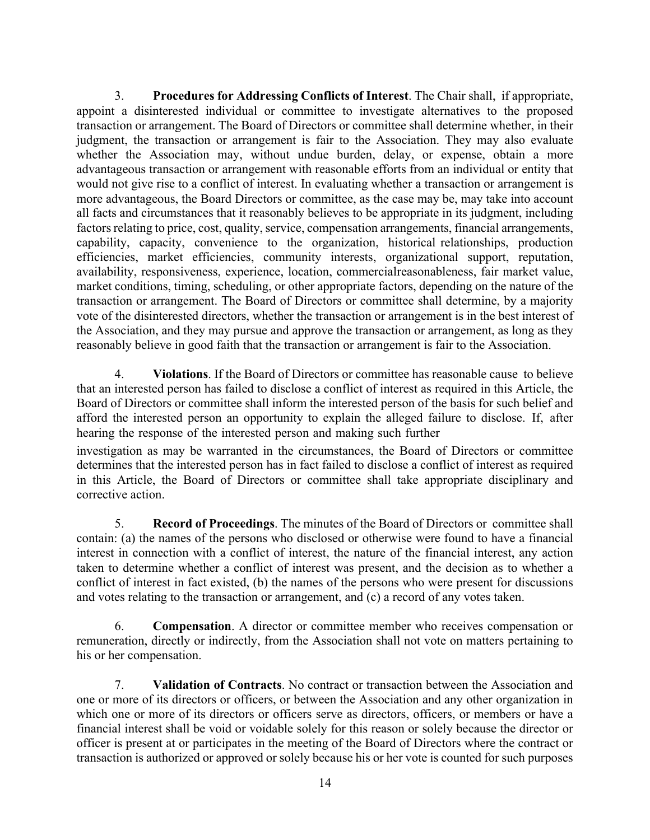3. **Procedures for Addressing Conflicts of Interest**. The Chair shall, if appropriate, appoint a disinterested individual or committee to investigate alternatives to the proposed transaction or arrangement. The Board of Directors or committee shall determine whether, in their judgment, the transaction or arrangement is fair to the Association. They may also evaluate whether the Association may, without undue burden, delay, or expense, obtain a more advantageous transaction or arrangement with reasonable efforts from an individual or entity that would not give rise to a conflict of interest. In evaluating whether a transaction or arrangement is more advantageous, the Board Directors or committee, as the case may be, may take into account all facts and circumstances that it reasonably believes to be appropriate in its judgment, including factors relating to price, cost, quality, service, compensation arrangements, financial arrangements, capability, capacity, convenience to the organization, historical relationships, production efficiencies, market efficiencies, community interests, organizational support, reputation, availability, responsiveness, experience, location, commercialreasonableness, fair market value, market conditions, timing, scheduling, or other appropriate factors, depending on the nature of the transaction or arrangement. The Board of Directors or committee shall determine, by a majority vote of the disinterested directors, whether the transaction or arrangement is in the best interest of the Association, and they may pursue and approve the transaction or arrangement, as long as they reasonably believe in good faith that the transaction or arrangement is fair to the Association.

4. **Violations**. If the Board of Directors or committee has reasonable cause to believe that an interested person has failed to disclose a conflict of interest as required in this Article, the Board of Directors or committee shall inform the interested person of the basis for such belief and afford the interested person an opportunity to explain the alleged failure to disclose. If, after hearing the response of the interested person and making such further

investigation as may be warranted in the circumstances, the Board of Directors or committee determines that the interested person has in fact failed to disclose a conflict of interest as required in this Article, the Board of Directors or committee shall take appropriate disciplinary and corrective action.

5. **Record of Proceedings**. The minutes of the Board of Directors or committee shall contain: (a) the names of the persons who disclosed or otherwise were found to have a financial interest in connection with a conflict of interest, the nature of the financial interest, any action taken to determine whether a conflict of interest was present, and the decision as to whether a conflict of interest in fact existed, (b) the names of the persons who were present for discussions and votes relating to the transaction or arrangement, and (c) a record of any votes taken.

6. **Compensation**. A director or committee member who receives compensation or remuneration, directly or indirectly, from the Association shall not vote on matters pertaining to his or her compensation.

7. **Validation of Contracts**. No contract or transaction between the Association and one or more of its directors or officers, or between the Association and any other organization in which one or more of its directors or officers serve as directors, officers, or members or have a financial interest shall be void or voidable solely for this reason or solely because the director or officer is present at or participates in the meeting of the Board of Directors where the contract or transaction is authorized or approved or solely because his or her vote is counted for such purposes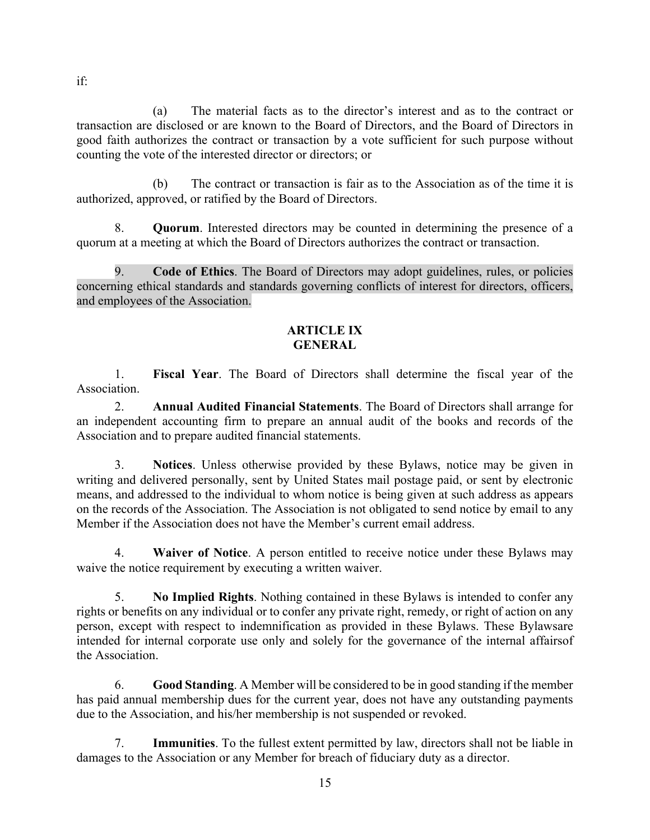(a) The material facts as to the director's interest and as to the contract or transaction are disclosed or are known to the Board of Directors, and the Board of Directors in good faith authorizes the contract or transaction by a vote sufficient for such purpose without counting the vote of the interested director or directors; or

(b) The contract or transaction is fair as to the Association as of the time it is authorized, approved, or ratified by the Board of Directors.

8. **Quorum**. Interested directors may be counted in determining the presence of a quorum at a meeting at which the Board of Directors authorizes the contract or transaction.

9. **Code of Ethics**. The Board of Directors may adopt guidelines, rules, or policies concerning ethical standards and standards governing conflicts of interest for directors, officers, and employees of the Association.

### **ARTICLE IX GENERAL**

1. **Fiscal Year**. The Board of Directors shall determine the fiscal year of the Association.

2. **Annual Audited Financial Statements**. The Board of Directors shall arrange for an independent accounting firm to prepare an annual audit of the books and records of the Association and to prepare audited financial statements.

3. **Notices**. Unless otherwise provided by these Bylaws, notice may be given in writing and delivered personally, sent by United States mail postage paid, or sent by electronic means, and addressed to the individual to whom notice is being given at such address as appears on the records of the Association. The Association is not obligated to send notice by email to any Member if the Association does not have the Member's current email address.

4. **Waiver of Notice**. A person entitled to receive notice under these Bylaws may waive the notice requirement by executing a written waiver.

5. **No Implied Rights**. Nothing contained in these Bylaws is intended to confer any rights or benefits on any individual or to confer any private right, remedy, or right of action on any person, except with respect to indemnification as provided in these Bylaws. These Bylawsare intended for internal corporate use only and solely for the governance of the internal affairsof the Association.

6. **Good Standing**. A Member will be considered to be in good standing if the member has paid annual membership dues for the current year, does not have any outstanding payments due to the Association, and his/her membership is not suspended or revoked.

7. **Immunities**. To the fullest extent permitted by law, directors shall not be liable in damages to the Association or any Member for breach of fiduciary duty as a director.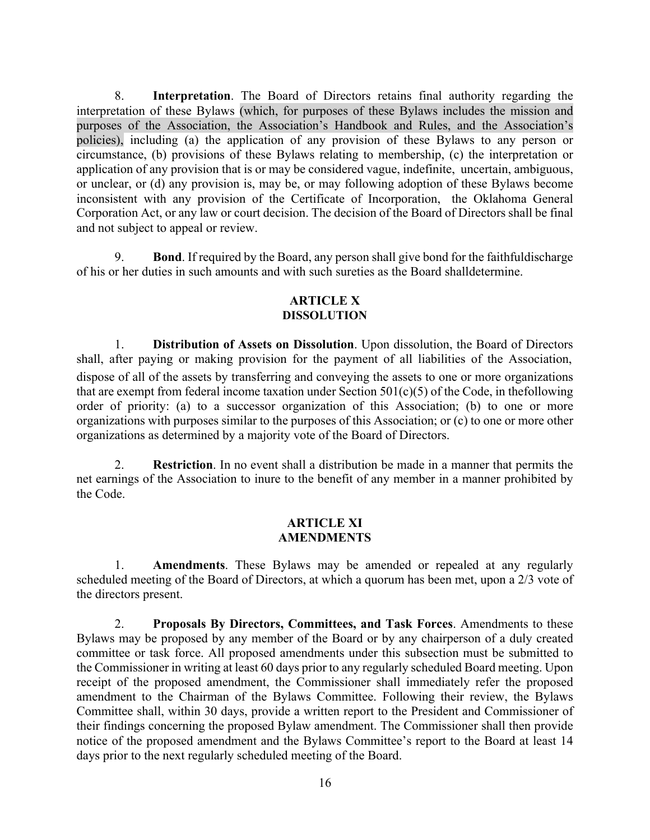8. **Interpretation**. The Board of Directors retains final authority regarding the interpretation of these Bylaws (which, for purposes of these Bylaws includes the mission and purposes of the Association, the Association's Handbook and Rules, and the Association's policies), including (a) the application of any provision of these Bylaws to any person or circumstance, (b) provisions of these Bylaws relating to membership, (c) the interpretation or application of any provision that is or may be considered vague, indefinite, uncertain, ambiguous, or unclear, or (d) any provision is, may be, or may following adoption of these Bylaws become inconsistent with any provision of the Certificate of Incorporation, the Oklahoma General Corporation Act, or any law or court decision. The decision of the Board of Directors shall be final and not subject to appeal or review.

9. **Bond**. If required by the Board, any person shall give bond for the faithfuldischarge of his or her duties in such amounts and with such sureties as the Board shalldetermine.

#### **ARTICLE X DISSOLUTION**

1. **Distribution of Assets on Dissolution**. Upon dissolution, the Board of Directors shall, after paying or making provision for the payment of all liabilities of the Association, dispose of all of the assets by transferring and conveying the assets to one or more organizations that are exempt from federal income taxation under Section  $501(c)(5)$  of the Code, in the following order of priority: (a) to a successor organization of this Association; (b) to one or more organizations with purposes similar to the purposes of this Association; or (c) to one or more other organizations as determined by a majority vote of the Board of Directors.

2. **Restriction**. In no event shall a distribution be made in a manner that permits the net earnings of the Association to inure to the benefit of any member in a manner prohibited by the Code.

#### **ARTICLE XI AMENDMENTS**

1. **Amendments**. These Bylaws may be amended or repealed at any regularly scheduled meeting of the Board of Directors, at which a quorum has been met, upon a 2/3 vote of the directors present.

2. **Proposals By Directors, Committees, and Task Forces**. Amendments to these Bylaws may be proposed by any member of the Board or by any chairperson of a duly created committee or task force. All proposed amendments under this subsection must be submitted to the Commissioner in writing at least 60 days prior to any regularly scheduled Board meeting. Upon receipt of the proposed amendment, the Commissioner shall immediately refer the proposed amendment to the Chairman of the Bylaws Committee. Following their review, the Bylaws Committee shall, within 30 days, provide a written report to the President and Commissioner of their findings concerning the proposed Bylaw amendment. The Commissioner shall then provide notice of the proposed amendment and the Bylaws Committee's report to the Board at least 14 days prior to the next regularly scheduled meeting of the Board.